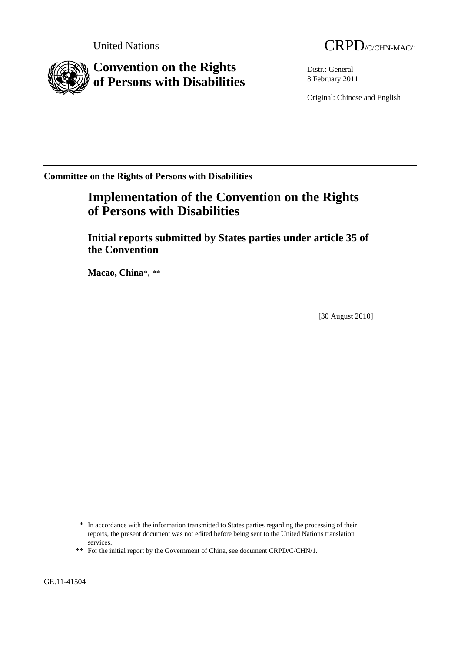

Distr.: General 8 February 2011

Original: Chinese and English

**Committee on the Rights of Persons with Disabilities** 

# **Implementation of the Convention on the Rights of Persons with Disabilities**

 **Initial reports submitted by States parties under article 35 of the Convention** 

 **Macao, China**[\\*](#page-0-0)**,** [\\*\\*](#page-0-1)

[30 August 2010]

<span id="page-0-0"></span><sup>\*</sup> In accordance with the information transmitted to States parties regarding the processing of their reports, the present document was not edited before being sent to the United Nations translation services.

<span id="page-0-1"></span><sup>\*\*</sup> For the initial report by the Government of China, see document CRPD/C/CHN/1.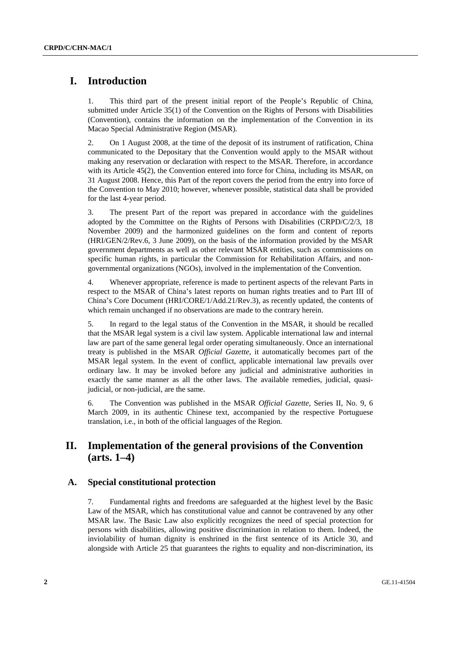# **I. Introduction**

1. This third part of the present initial report of the People's Republic of China, submitted under Article 35(1) of the Convention on the Rights of Persons with Disabilities (Convention), contains the information on the implementation of the Convention in its Macao Special Administrative Region (MSAR).

2. On 1 August 2008, at the time of the deposit of its instrument of ratification, China communicated to the Depositary that the Convention would apply to the MSAR without making any reservation or declaration with respect to the MSAR. Therefore, in accordance with its Article 45(2), the Convention entered into force for China, including its MSAR, on 31 August 2008. Hence, this Part of the report covers the period from the entry into force of the Convention to May 2010; however, whenever possible, statistical data shall be provided for the last 4-year period.

3. The present Part of the report was prepared in accordance with the guidelines adopted by the Committee on the Rights of Persons with Disabilities (CRPD/C/2/3, 18 November 2009) and the harmonized guidelines on the form and content of reports (HRI/GEN/2/Rev.6, 3 June 2009), on the basis of the information provided by the MSAR government departments as well as other relevant MSAR entities, such as commissions on specific human rights, in particular the Commission for Rehabilitation Affairs, and nongovernmental organizations (NGOs), involved in the implementation of the Convention.

4. Whenever appropriate, reference is made to pertinent aspects of the relevant Parts in respect to the MSAR of China's latest reports on human rights treaties and to Part III of China's Core Document (HRI/CORE/1/Add.21/Rev.3), as recently updated, the contents of which remain unchanged if no observations are made to the contrary herein.

5. In regard to the legal status of the Convention in the MSAR, it should be recalled that the MSAR legal system is a civil law system. Applicable international law and internal law are part of the same general legal order operating simultaneously. Once an international treaty is published in the MSAR *Official Gazette*, it automatically becomes part of the MSAR legal system. In the event of conflict, applicable international law prevails over ordinary law. It may be invoked before any judicial and administrative authorities in exactly the same manner as all the other laws. The available remedies, judicial, quasijudicial, or non-judicial, are the same.

6. The Convention was published in the MSAR *Official Gazette*, Series II, No. 9, 6 March 2009, in its authentic Chinese text, accompanied by the respective Portuguese translation, i.e., in both of the official languages of the Region.

# **II. Implementation of the general provisions of the Convention (arts. 1–4)**

### **A. Special constitutional protection**

7. Fundamental rights and freedoms are safeguarded at the highest level by the Basic Law of the MSAR, which has constitutional value and cannot be contravened by any other MSAR law. The Basic Law also explicitly recognizes the need of special protection for persons with disabilities, allowing positive discrimination in relation to them. Indeed, the inviolability of human dignity is enshrined in the first sentence of its Article 30, and alongside with Article 25 that guarantees the rights to equality and non-discrimination, its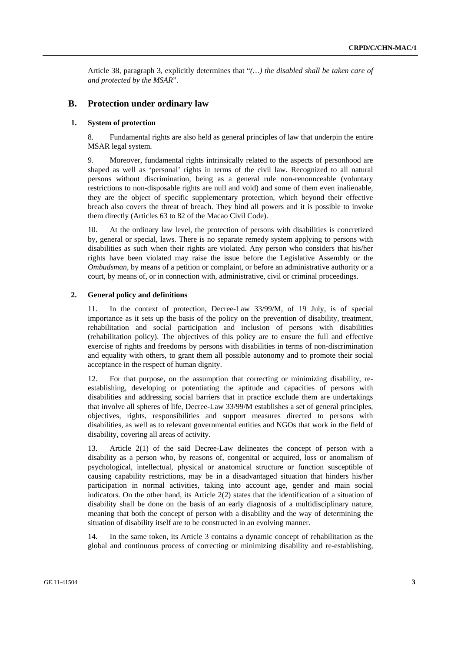Article 38, paragraph 3, explicitly determines that "*(…) the disabled shall be taken care of and protected by the MSAR*".

### **B. Protection under ordinary law**

### **1. System of protection**

8. Fundamental rights are also held as general principles of law that underpin the entire MSAR legal system.

9. Moreover, fundamental rights intrinsically related to the aspects of personhood are shaped as well as 'personal' rights in terms of the civil law. Recognized to all natural persons without discrimination, being as a general rule non-renounceable (voluntary restrictions to non-disposable rights are null and void) and some of them even inalienable, they are the object of specific supplementary protection, which beyond their effective breach also covers the threat of breach. They bind all powers and it is possible to invoke them directly (Articles 63 to 82 of the Macao Civil Code).

10. At the ordinary law level, the protection of persons with disabilities is concretized by, general or special, laws. There is no separate remedy system applying to persons with disabilities as such when their rights are violated. Any person who considers that his/her rights have been violated may raise the issue before the Legislative Assembly or the *Ombudsman*, by means of a petition or complaint, or before an administrative authority or a court, by means of, or in connection with, administrative, civil or criminal proceedings.

#### **2. General policy and definitions**

11. In the context of protection, Decree-Law 33/99/M, of 19 July, is of special importance as it sets up the basis of the policy on the prevention of disability, treatment, rehabilitation and social participation and inclusion of persons with disabilities (rehabilitation policy). The objectives of this policy are to ensure the full and effective exercise of rights and freedoms by persons with disabilities in terms of non-discrimination and equality with others, to grant them all possible autonomy and to promote their social acceptance in the respect of human dignity.

12. For that purpose, on the assumption that correcting or minimizing disability, reestablishing, developing or potentiating the aptitude and capacities of persons with disabilities and addressing social barriers that in practice exclude them are undertakings that involve all spheres of life, Decree-Law 33/99/M establishes a set of general principles, objectives, rights, responsibilities and support measures directed to persons with disabilities, as well as to relevant governmental entities and NGOs that work in the field of disability, covering all areas of activity.

13. Article 2(1) of the said Decree-Law delineates the concept of person with a disability as a person who, by reasons of, congenital or acquired, loss or anomalism of psychological, intellectual, physical or anatomical structure or function susceptible of causing capability restrictions, may be in a disadvantaged situation that hinders his/her participation in normal activities, taking into account age, gender and main social indicators. On the other hand, its Article 2(2) states that the identification of a situation of disability shall be done on the basis of an early diagnosis of a multidisciplinary nature, meaning that both the concept of person with a disability and the way of determining the situation of disability itself are to be constructed in an evolving manner.

In the same token, its Article 3 contains a dynamic concept of rehabilitation as the global and continuous process of correcting or minimizing disability and re-establishing,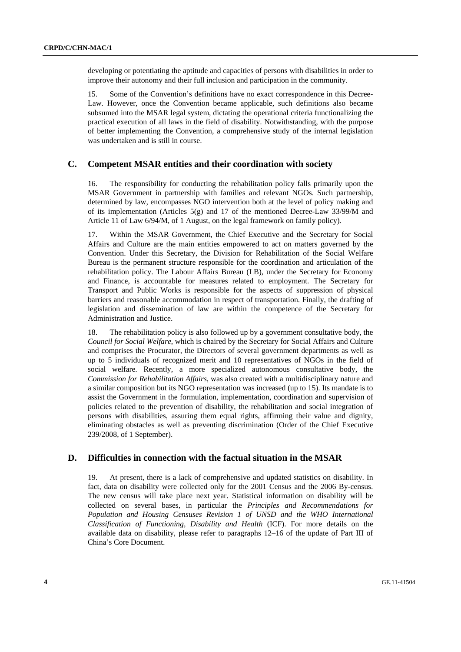developing or potentiating the aptitude and capacities of persons with disabilities in order to improve their autonomy and their full inclusion and participation in the community.

15. Some of the Convention's definitions have no exact correspondence in this Decree-Law. However, once the Convention became applicable, such definitions also became subsumed into the MSAR legal system, dictating the operational criteria functionalizing the practical execution of all laws in the field of disability. Notwithstanding, with the purpose of better implementing the Convention, a comprehensive study of the internal legislation was undertaken and is still in course.

## **C. Competent MSAR entities and their coordination with society**

16. The responsibility for conducting the rehabilitation policy falls primarily upon the MSAR Government in partnership with families and relevant NGOs. Such partnership, determined by law, encompasses NGO intervention both at the level of policy making and of its implementation (Articles 5(g) and 17 of the mentioned Decree-Law 33/99/M and Article 11 of Law 6/94/M, of 1 August, on the legal framework on family policy).

17. Within the MSAR Government, the Chief Executive and the Secretary for Social Affairs and Culture are the main entities empowered to act on matters governed by the Convention. Under this Secretary, the Division for Rehabilitation of the Social Welfare Bureau is the permanent structure responsible for the coordination and articulation of the rehabilitation policy. The Labour Affairs Bureau (LB), under the Secretary for Economy and Finance, is accountable for measures related to employment. The Secretary for Transport and Public Works is responsible for the aspects of suppression of physical barriers and reasonable accommodation in respect of transportation. Finally, the drafting of legislation and dissemination of law are within the competence of the Secretary for Administration and Justice.

18. The rehabilitation policy is also followed up by a government consultative body, the *Council for Social Welfare*, which is chaired by the Secretary for Social Affairs and Culture and comprises the Procurator, the Directors of several government departments as well as up to 5 individuals of recognized merit and 10 representatives of NGOs in the field of social welfare. Recently, a more specialized autonomous consultative body, the *Commission for Rehabilitation Affairs*, was also created with a multidisciplinary nature and a similar composition but its NGO representation was increased (up to 15). Its mandate is to assist the Government in the formulation, implementation, coordination and supervision of policies related to the prevention of disability, the rehabilitation and social integration of persons with disabilities, assuring them equal rights, affirming their value and dignity, eliminating obstacles as well as preventing discrimination (Order of the Chief Executive 239/2008, of 1 September).

# **D. Difficulties in connection with the factual situation in the MSAR**

19. At present, there is a lack of comprehensive and updated statistics on disability. In fact, data on disability were collected only for the 2001 Census and the 2006 By-census. The new census will take place next year. Statistical information on disability will be collected on several bases, in particular the *Principles and Recommendations for Population and Housing Censuses Revision 1 of UNSD and the WHO International Classification of Functioning, Disability and Health* (ICF). For more details on the available data on disability, please refer to paragraphs 12–16 of the update of Part III of China's Core Document.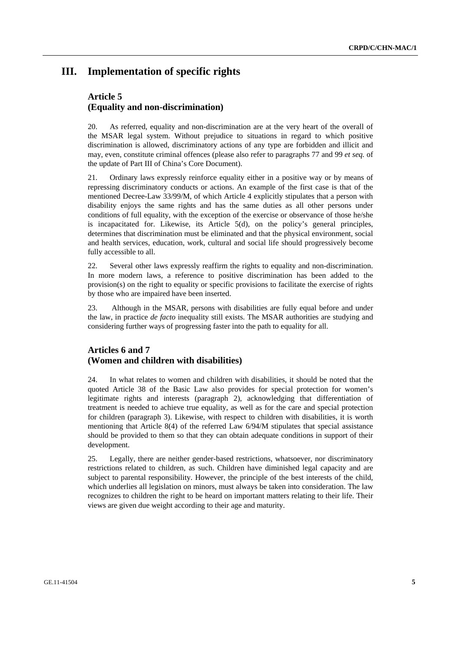# **III. Implementation of specific rights**

## **Article 5 (Equality and non-discrimination)**

20. As referred, equality and non-discrimination are at the very heart of the overall of the MSAR legal system. Without prejudice to situations in regard to which positive discrimination is allowed, discriminatory actions of any type are forbidden and illicit and may, even, constitute criminal offences (please also refer to paragraphs 77 and 99 *et seq.* of the update of Part III of China's Core Document).

21. Ordinary laws expressly reinforce equality either in a positive way or by means of repressing discriminatory conducts or actions. An example of the first case is that of the mentioned Decree-Law 33/99/M, of which Article 4 explicitly stipulates that a person with disability enjoys the same rights and has the same duties as all other persons under conditions of full equality, with the exception of the exercise or observance of those he/she is incapacitated for. Likewise, its Article 5(d), on the policy's general principles, determines that discrimination must be eliminated and that the physical environment, social and health services, education, work, cultural and social life should progressively become fully accessible to all.

22. Several other laws expressly reaffirm the rights to equality and non-discrimination. In more modern laws, a reference to positive discrimination has been added to the provision(s) on the right to equality or specific provisions to facilitate the exercise of rights by those who are impaired have been inserted.

23. Although in the MSAR, persons with disabilities are fully equal before and under the law, in practice *de facto* inequality still exists. The MSAR authorities are studying and considering further ways of progressing faster into the path to equality for all.

### **Articles 6 and 7 (Women and children with disabilities)**

24. In what relates to women and children with disabilities, it should be noted that the quoted Article 38 of the Basic Law also provides for special protection for women's legitimate rights and interests (paragraph 2), acknowledging that differentiation of treatment is needed to achieve true equality, as well as for the care and special protection for children (paragraph 3). Likewise, with respect to children with disabilities, it is worth mentioning that Article 8(4) of the referred Law 6/94/M stipulates that special assistance should be provided to them so that they can obtain adequate conditions in support of their development.

25. Legally, there are neither gender-based restrictions, whatsoever, nor discriminatory restrictions related to children, as such. Children have diminished legal capacity and are subject to parental responsibility. However, the principle of the best interests of the child, which underlies all legislation on minors, must always be taken into consideration. The law recognizes to children the right to be heard on important matters relating to their life. Their views are given due weight according to their age and maturity.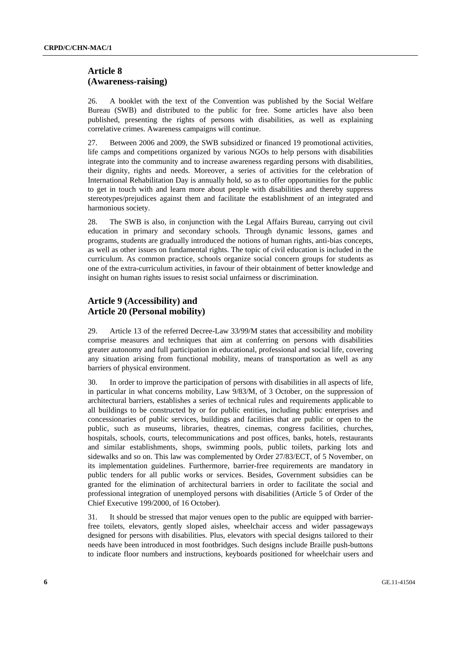### **Article 8 (Awareness-raising)**

26. A booklet with the text of the Convention was published by the Social Welfare Bureau (SWB) and distributed to the public for free. Some articles have also been published, presenting the rights of persons with disabilities, as well as explaining correlative crimes. Awareness campaigns will continue.

27. Between 2006 and 2009, the SWB subsidized or financed 19 promotional activities, life camps and competitions organized by various NGOs to help persons with disabilities integrate into the community and to increase awareness regarding persons with disabilities, their dignity, rights and needs. Moreover, a series of activities for the celebration of International Rehabilitation Day is annually hold, so as to offer opportunities for the public to get in touch with and learn more about people with disabilities and thereby suppress stereotypes/prejudices against them and facilitate the establishment of an integrated and harmonious society.

28. The SWB is also, in conjunction with the Legal Affairs Bureau, carrying out civil education in primary and secondary schools. Through dynamic lessons, games and programs, students are gradually introduced the notions of human rights, anti-bias concepts, as well as other issues on fundamental rights. The topic of civil education is included in the curriculum. As common practice, schools organize social concern groups for students as one of the extra-curriculum activities, in favour of their obtainment of better knowledge and insight on human rights issues to resist social unfairness or discrimination.

# **Article 9 (Accessibility) and Article 20 (Personal mobility)**

29. Article 13 of the referred Decree-Law 33/99/M states that accessibility and mobility comprise measures and techniques that aim at conferring on persons with disabilities greater autonomy and full participation in educational, professional and social life, covering any situation arising from functional mobility, means of transportation as well as any barriers of physical environment.

30. In order to improve the participation of persons with disabilities in all aspects of life, in particular in what concerns mobility, Law 9/83/M, of 3 October, on the suppression of architectural barriers, establishes a series of technical rules and requirements applicable to all buildings to be constructed by or for public entities, including public enterprises and concessionaries of public services, buildings and facilities that are public or open to the public, such as museums, libraries, theatres, cinemas, congress facilities, churches, hospitals, schools, courts, telecommunications and post offices, banks, hotels, restaurants and similar establishments, shops, swimming pools, public toilets, parking lots and sidewalks and so on. This law was complemented by Order 27/83/ECT, of 5 November, on its implementation guidelines. Furthermore, barrier-free requirements are mandatory in public tenders for all public works or services. Besides, Government subsidies can be granted for the elimination of architectural barriers in order to facilitate the social and professional integration of unemployed persons with disabilities (Article 5 of Order of the Chief Executive 199/2000, of 16 October).

31. It should be stressed that major venues open to the public are equipped with barrierfree toilets, elevators, gently sloped aisles, wheelchair access and wider passageways designed for persons with disabilities. Plus, elevators with special designs tailored to their needs have been introduced in most footbridges. Such designs include Braille push-buttons to indicate floor numbers and instructions, keyboards positioned for wheelchair users and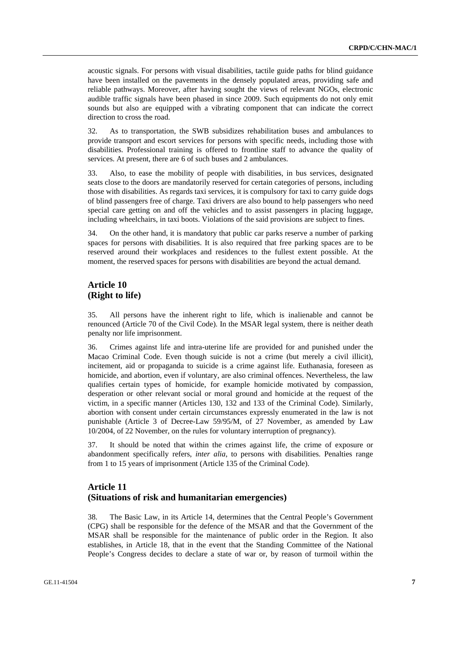acoustic signals. For persons with visual disabilities, tactile guide paths for blind guidance have been installed on the pavements in the densely populated areas, providing safe and reliable pathways. Moreover, after having sought the views of relevant NGOs, electronic audible traffic signals have been phased in since 2009. Such equipments do not only emit sounds but also are equipped with a vibrating component that can indicate the correct direction to cross the road.

32. As to transportation, the SWB subsidizes rehabilitation buses and ambulances to provide transport and escort services for persons with specific needs, including those with disabilities. Professional training is offered to frontline staff to advance the quality of services. At present, there are 6 of such buses and 2 ambulances.

33. Also, to ease the mobility of people with disabilities, in bus services, designated seats close to the doors are mandatorily reserved for certain categories of persons, including those with disabilities. As regards taxi services, it is compulsory for taxi to carry guide dogs of blind passengers free of charge. Taxi drivers are also bound to help passengers who need special care getting on and off the vehicles and to assist passengers in placing luggage, including wheelchairs, in taxi boots. Violations of the said provisions are subject to fines.

34. On the other hand, it is mandatory that public car parks reserve a number of parking spaces for persons with disabilities. It is also required that free parking spaces are to be reserved around their workplaces and residences to the fullest extent possible. At the moment, the reserved spaces for persons with disabilities are beyond the actual demand.

# **Article 10 (Right to life)**

35. All persons have the inherent right to life, which is inalienable and cannot be renounced (Article 70 of the Civil Code). In the MSAR legal system, there is neither death penalty nor life imprisonment.

36. Crimes against life and intra-uterine life are provided for and punished under the Macao Criminal Code. Even though suicide is not a crime (but merely a civil illicit), incitement, aid or propaganda to suicide is a crime against life. Euthanasia, foreseen as homicide, and abortion, even if voluntary, are also criminal offences. Nevertheless, the law qualifies certain types of homicide, for example homicide motivated by compassion, desperation or other relevant social or moral ground and homicide at the request of the victim, in a specific manner (Articles 130, 132 and 133 of the Criminal Code). Similarly, abortion with consent under certain circumstances expressly enumerated in the law is not punishable (Article 3 of Decree-Law 59/95/M, of 27 November, as amended by Law 10/2004, of 22 November, on the rules for voluntary interruption of pregnancy).

37. It should be noted that within the crimes against life, the crime of exposure or abandonment specifically refers, *inter alia*, to persons with disabilities. Penalties range from 1 to 15 years of imprisonment (Article 135 of the Criminal Code).

## **Article 11 (Situations of risk and humanitarian emergencies)**

38. The Basic Law, in its Article 14, determines that the Central People's Government (CPG) shall be responsible for the defence of the MSAR and that the Government of the MSAR shall be responsible for the maintenance of public order in the Region. It also establishes, in Article 18, that in the event that the Standing Committee of the National People's Congress decides to declare a state of war or, by reason of turmoil within the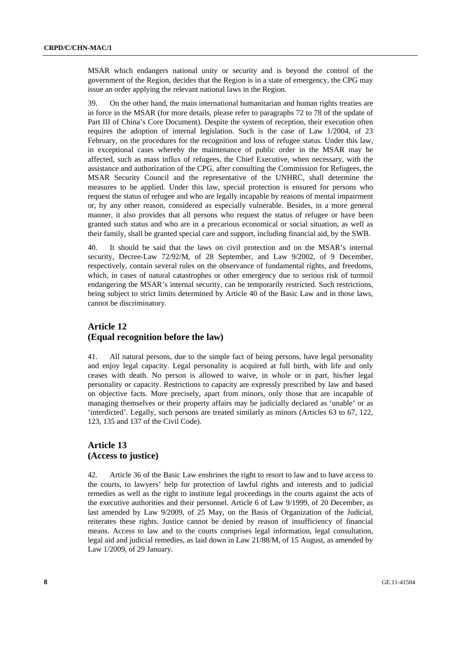MSAR which endangers national unity or security and is beyond the control of the government of the Region, decides that the Region is in a state of emergency, the CPG may issue an order applying the relevant national laws in the Region.

39. On the other hand, the main international humanitarian and human rights treaties are in force in the MSAR (for more details, please refer to paragraphs 72 to 78 of the update of Part III of China's Core Document). Despite the system of reception, their execution often requires the adoption of internal legislation. Such is the case of Law 1/2004, of 23 February, on the procedures for the recognition and loss of refugee status. Under this law, in exceptional cases whereby the maintenance of public order in the MSAR may be affected, such as mass influx of refugees, the Chief Executive, when necessary, with the assistance and authorization of the CPG, after consulting the Commission for Refugees, the MSAR Security Council and the representative of the UNHRC, shall determine the measures to be applied. Under this law, special protection is ensured for persons who request the status of refugee and who are legally incapable by reasons of mental impairment or, by any other reason, considered as especially vulnerable. Besides, in a more general manner, it also provides that all persons who request the status of refugee or have been granted such status and who are in a precarious economical or social situation, as well as their family, shall be granted special care and support, including financial aid, by the SWB.

40. It should be said that the laws on civil protection and on the MSAR's internal security, Decree-Law 72/92/M, of 28 September, and Law 9/2002, of 9 December, respectively, contain several rules on the observance of fundamental rights, and freedoms, which, in cases of natural catastrophes or other emergency due to serious risk of turmoil endangering the MSAR's internal security, can be temporarily restricted. Such restrictions, being subject to strict limits determined by Article 40 of the Basic Law and in those laws, cannot be discriminatory.

# **Article 12 (Equal recognition before the law)**

41. All natural persons, due to the simple fact of being persons, have legal personality and enjoy legal capacity. Legal personality is acquired at full birth, with life and only ceases with death. No person is allowed to waive, in whole or in part, his/her legal personality or capacity. Restrictions to capacity are expressly prescribed by law and based on objective facts. More precisely, apart from minors, only those that are incapable of managing themselves or their property affairs may be judicially declared as 'unable' or as 'interdicted'. Legally, such persons are treated similarly as minors (Articles 63 to 67, 122, 123, 135 and 137 of the Civil Code).

### **Article 13 (Access to justice)**

42. Article 36 of the Basic Law enshrines the right to resort to law and to have access to the courts, to lawyers' help for protection of lawful rights and interests and to judicial remedies as well as the right to institute legal proceedings in the courts against the acts of the executive authorities and their personnel. Article 6 of Law 9/1999, of 20 December, as last amended by Law 9/2009, of 25 May, on the Basis of Organization of the Judicial, reiterates these rights. Justice cannot be denied by reason of insufficiency of financial means. Access to law and to the courts comprises legal information, legal consultation, legal aid and judicial remedies, as laid down in Law 21/88/M, of 15 August, as amended by Law 1/2009, of 29 January.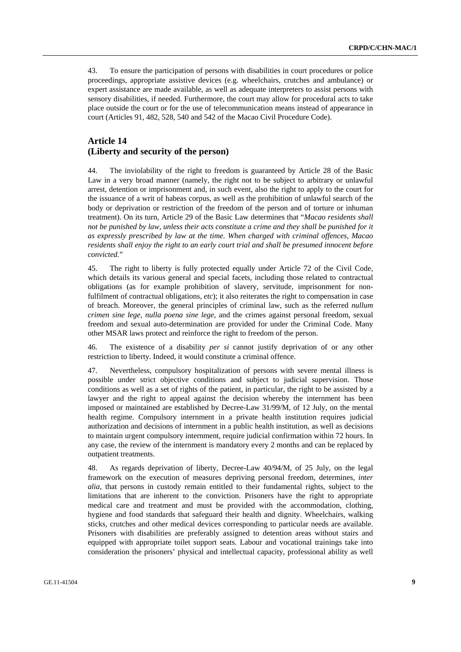43. To ensure the participation of persons with disabilities in court procedures or police proceedings, appropriate assistive devices (e.g. wheelchairs, crutches and ambulance) or expert assistance are made available, as well as adequate interpreters to assist persons with sensory disabilities, if needed. Furthermore, the court may allow for procedural acts to take place outside the court or for the use of telecommunication means instead of appearance in court (Articles 91, 482, 528, 540 and 542 of the Macao Civil Procedure Code).

## **Article 14 (Liberty and security of the person)**

44. The inviolability of the right to freedom is guaranteed by Article 28 of the Basic Law in a very broad manner (namely, the right not to be subject to arbitrary or unlawful arrest, detention or imprisonment and, in such event, also the right to apply to the court for the issuance of a writ of habeas corpus, as well as the prohibition of unlawful search of the body or deprivation or restriction of the freedom of the person and of torture or inhuman treatment). On its turn, Article 29 of the Basic Law determines that "*Macao residents shall not be punished by law, unless their acts constitute a crime and they shall be punished for it as expressly prescribed by law at the time. When charged with criminal offences, Macao residents shall enjoy the right to an early court trial and shall be presumed innocent before convicted.*"

45. The right to liberty is fully protected equally under Article 72 of the Civil Code, which details its various general and special facets, including those related to contractual obligations (as for example prohibition of slavery, servitude, imprisonment for nonfulfilment of contractual obligations, *etc*); it also reiterates the right to compensation in case of breach. Moreover, the general principles of criminal law, such as the referred *nullum crimen sine lege, nulla poena sine lege*, and the crimes against personal freedom, sexual freedom and sexual auto-determination are provided for under the Criminal Code. Many other MSAR laws protect and reinforce the right to freedom of the person.

46. The existence of a disability *per si* cannot justify deprivation of or any other restriction to liberty. Indeed, it would constitute a criminal offence.

47. Nevertheless, compulsory hospitalization of persons with severe mental illness is possible under strict objective conditions and subject to judicial supervision. Those conditions as well as a set of rights of the patient, in particular, the right to be assisted by a lawyer and the right to appeal against the decision whereby the internment has been imposed or maintained are established by Decree-Law 31/99/M, of 12 July, on the mental health regime. Compulsory internment in a private health institution requires judicial authorization and decisions of internment in a public health institution, as well as decisions to maintain urgent compulsory internment, require judicial confirmation within 72 hours. In any case, the review of the internment is mandatory every 2 months and can be replaced by outpatient treatments.

48. As regards deprivation of liberty, Decree-Law 40/94/M, of 25 July, on the legal framework on the execution of measures depriving personal freedom, determines, *inter alia*, that persons in custody remain entitled to their fundamental rights, subject to the limitations that are inherent to the conviction. Prisoners have the right to appropriate medical care and treatment and must be provided with the accommodation, clothing, hygiene and food standards that safeguard their health and dignity. Wheelchairs, walking sticks, crutches and other medical devices corresponding to particular needs are available. Prisoners with disabilities are preferably assigned to detention areas without stairs and equipped with appropriate toilet support seats. Labour and vocational trainings take into consideration the prisoners' physical and intellectual capacity, professional ability as well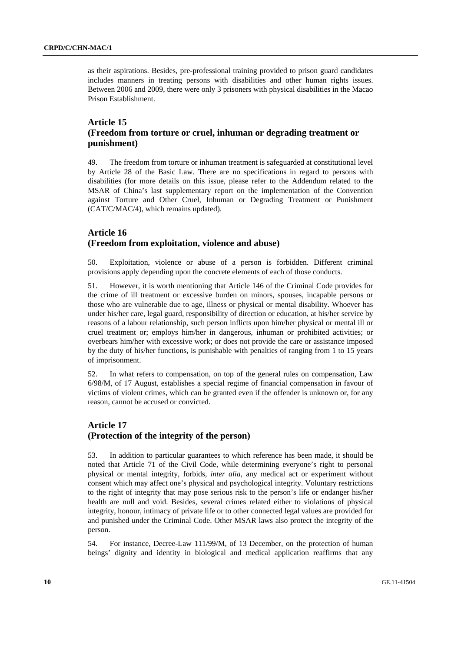as their aspirations. Besides, pre-professional training provided to prison guard candidates includes manners in treating persons with disabilities and other human rights issues. Between 2006 and 2009, there were only 3 prisoners with physical disabilities in the Macao Prison Establishment.

## **Article 15 (Freedom from torture or cruel, inhuman or degrading treatment or punishment)**

49. The freedom from torture or inhuman treatment is safeguarded at constitutional level by Article 28 of the Basic Law. There are no specifications in regard to persons with disabilities (for more details on this issue, please refer to the Addendum related to the MSAR of China's last supplementary report on the implementation of the Convention against Torture and Other Cruel, Inhuman or Degrading Treatment or Punishment (CAT/C/MAC/4), which remains updated).

## **Article 16 (Freedom from exploitation, violence and abuse)**

50. Exploitation, violence or abuse of a person is forbidden. Different criminal provisions apply depending upon the concrete elements of each of those conducts.

51. However, it is worth mentioning that Article 146 of the Criminal Code provides for the crime of ill treatment or excessive burden on minors, spouses, incapable persons or those who are vulnerable due to age, illness or physical or mental disability. Whoever has under his/her care, legal guard, responsibility of direction or education, at his/her service by reasons of a labour relationship, such person inflicts upon him/her physical or mental ill or cruel treatment or; employs him/her in dangerous, inhuman or prohibited activities; or overbears him/her with excessive work; or does not provide the care or assistance imposed by the duty of his/her functions, is punishable with penalties of ranging from 1 to 15 years of imprisonment.

52. In what refers to compensation, on top of the general rules on compensation, Law 6/98/M, of 17 August, establishes a special regime of financial compensation in favour of victims of violent crimes, which can be granted even if the offender is unknown or, for any reason, cannot be accused or convicted.

# **Article 17 (Protection of the integrity of the person)**

53. In addition to particular guarantees to which reference has been made, it should be noted that Article 71 of the Civil Code, while determining everyone's right to personal physical or mental integrity, forbids, *inter alia*, any medical act or experiment without consent which may affect one's physical and psychological integrity. Voluntary restrictions to the right of integrity that may pose serious risk to the person's life or endanger his/her health are null and void. Besides, several crimes related either to violations of physical integrity, honour, intimacy of private life or to other connected legal values are provided for and punished under the Criminal Code. Other MSAR laws also protect the integrity of the person.

54. For instance, Decree-Law 111/99/M, of 13 December, on the protection of human beings' dignity and identity in biological and medical application reaffirms that any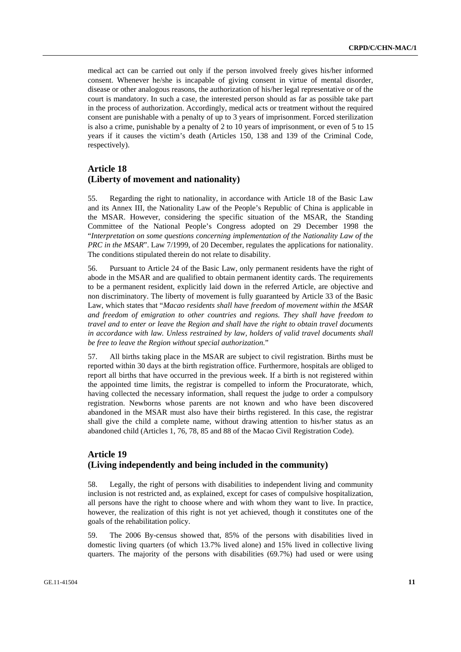medical act can be carried out only if the person involved freely gives his/her informed consent. Whenever he/she is incapable of giving consent in virtue of mental disorder, disease or other analogous reasons, the authorization of his/her legal representative or of the court is mandatory. In such a case, the interested person should as far as possible take part in the process of authorization. Accordingly, medical acts or treatment without the required consent are punishable with a penalty of up to 3 years of imprisonment. Forced sterilization is also a crime, punishable by a penalty of 2 to 10 years of imprisonment, or even of 5 to 15 years if it causes the victim's death (Articles 150, 138 and 139 of the Criminal Code, respectively).

## **Article 18 (Liberty of movement and nationality)**

55. Regarding the right to nationality, in accordance with Article 18 of the Basic Law and its Annex III, the Nationality Law of the People's Republic of China is applicable in the MSAR. However, considering the specific situation of the MSAR, the Standing Committee of the National People's Congress adopted on 29 December 1998 the "*Interpretation on some questions concerning implementation of the Nationality Law of the PRC in the MSAR*". Law 7/1999, of 20 December, regulates the applications for nationality. The conditions stipulated therein do not relate to disability.

56. Pursuant to Article 24 of the Basic Law, only permanent residents have the right of abode in the MSAR and are qualified to obtain permanent identity cards. The requirements to be a permanent resident, explicitly laid down in the referred Article, are objective and non discriminatory. The liberty of movement is fully guaranteed by Article 33 of the Basic Law, which states that "*Macao residents shall have freedom of movement within the MSAR and freedom of emigration to other countries and regions. They shall have freedom to travel and to enter or leave the Region and shall have the right to obtain travel documents in accordance with law. Unless restrained by law, holders of valid travel documents shall be free to leave the Region without special authorization.*"

57. All births taking place in the MSAR are subject to civil registration. Births must be reported within 30 days at the birth registration office. Furthermore, hospitals are obliged to report all births that have occurred in the previous week. If a birth is not registered within the appointed time limits, the registrar is compelled to inform the Procuratorate, which, having collected the necessary information, shall request the judge to order a compulsory registration. Newborns whose parents are not known and who have been discovered abandoned in the MSAR must also have their births registered. In this case, the registrar shall give the child a complete name, without drawing attention to his/her status as an abandoned child (Articles 1, 76, 78, 85 and 88 of the Macao Civil Registration Code).

# **Article 19 (Living independently and being included in the community)**

58. Legally, the right of persons with disabilities to independent living and community inclusion is not restricted and, as explained, except for cases of compulsive hospitalization, all persons have the right to choose where and with whom they want to live. In practice, however, the realization of this right is not yet achieved, though it constitutes one of the goals of the rehabilitation policy.

59. The 2006 By-census showed that, 85% of the persons with disabilities lived in domestic living quarters (of which 13.7% lived alone) and 15% lived in collective living quarters. The majority of the persons with disabilities (69.7%) had used or were using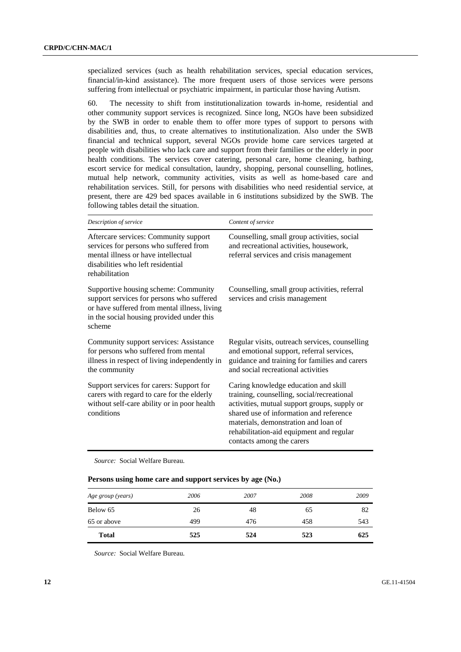specialized services (such as health rehabilitation services, special education services, financial/in-kind assistance). The more frequent users of those services were persons suffering from intellectual or psychiatric impairment, in particular those having Autism.

60. The necessity to shift from institutionalization towards in-home, residential and other community support services is recognized. Since long, NGOs have been subsidized by the SWB in order to enable them to offer more types of support to persons with disabilities and, thus, to create alternatives to institutionalization. Also under the SWB financial and technical support, several NGOs provide home care services targeted at people with disabilities who lack care and support from their families or the elderly in poor health conditions. The services cover catering, personal care, home cleaning, bathing, escort service for medical consultation, laundry, shopping, personal counselling, hotlines, mutual help network, community activities, visits as well as home-based care and rehabilitation services. Still, for persons with disabilities who need residential service, at present, there are 429 bed spaces available in 6 institutions subsidized by the SWB. The following tables detail the situation.

| Description of service                                                                                                                                                                   | Content of service                                                                                                                                                                                                                                                                             |
|------------------------------------------------------------------------------------------------------------------------------------------------------------------------------------------|------------------------------------------------------------------------------------------------------------------------------------------------------------------------------------------------------------------------------------------------------------------------------------------------|
| Aftercare services: Community support<br>services for persons who suffered from<br>mental illness or have intellectual<br>disabilities who left residential<br>rehabilitation            | Counselling, small group activities, social<br>and recreational activities, housework,<br>referral services and crisis management                                                                                                                                                              |
| Supportive housing scheme: Community<br>support services for persons who suffered<br>or have suffered from mental illness, living<br>in the social housing provided under this<br>scheme | Counselling, small group activities, referral<br>services and crisis management                                                                                                                                                                                                                |
| Community support services: Assistance<br>for persons who suffered from mental<br>illness in respect of living independently in<br>the community                                         | Regular visits, outreach services, counselling<br>and emotional support, referral services,<br>guidance and training for families and carers<br>and social recreational activities                                                                                                             |
| Support services for carers: Support for<br>carers with regard to care for the elderly<br>without self-care ability or in poor health<br>conditions                                      | Caring knowledge education and skill<br>training, counselling, social/recreational<br>activities, mutual support groups, supply or<br>shared use of information and reference<br>materials, demonstration and loan of<br>rehabilitation-aid equipment and regular<br>contacts among the carers |

*Source:* Social Welfare Bureau.

### **Persons using home care and support services by age (No.)**

| Age group (years) | 2006 | 2007 | 2008 | 2009 |
|-------------------|------|------|------|------|
| Below 65          | 26   | 48   | 65   | 82   |
| 65 or above       | 499  | 476  | 458  | 543  |
| <b>Total</b>      | 525  | 524  | 523  | 625  |

*Source:* Social Welfare Bureau.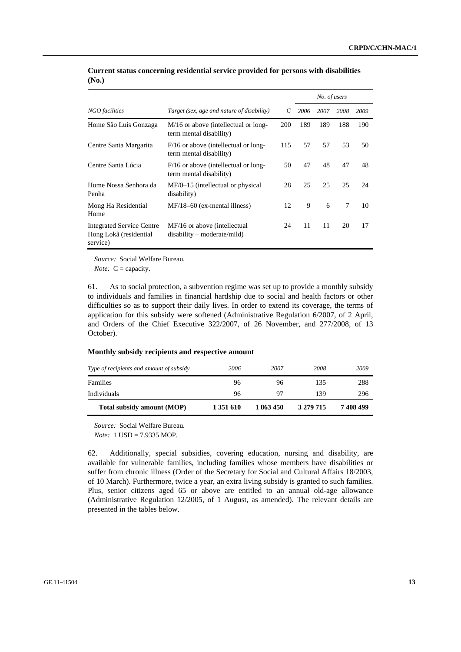|                                                                 |                                                                   |     |      | No. of users |      |      |
|-----------------------------------------------------------------|-------------------------------------------------------------------|-----|------|--------------|------|------|
| NGO facilities                                                  | Target (sex, age and nature of disability)                        | C   | 2006 | 2007         | 2008 | 2009 |
| Home São Luís Gonzaga                                           | M/16 or above (intellectual or long-<br>term mental disability)   | 200 | 189  | 189          | 188  | 190  |
| Centre Santa Margarita                                          | $F/16$ or above (intellectual or long-<br>term mental disability) | 115 | 57   | 57           | 53   | 50   |
| Centre Santa Lúcia                                              | $F/16$ or above (intellectual or long-<br>term mental disability) | 50  | 47   | 48           | 47   | 48   |
| Home Nossa Senhora da<br>Penha                                  | $MF/0-15$ (intellectual or physical<br>disability)                | 28  | 25   | 25           | 25   | 24   |
| Mong Ha Residential<br>Home                                     | $MF/18-60$ (ex-mental illness)                                    | 12  | 9    | 6            | 7    | 10   |
| Integrated Service Centre<br>Hong Lokâ (residential<br>service) | MF/16 or above (intellectual<br>$disability - moderate/mild)$     | 24  | 11   | 11           | 20   | 17   |

### **Current status concerning residential service provided for persons with disabilities (No.)**

*Source:* Social Welfare Bureau.

*Note:* C = capacity.

61. As to social protection, a subvention regime was set up to provide a monthly subsidy to individuals and families in financial hardship due to social and health factors or other difficulties so as to support their daily lives. In order to extend its coverage, the terms of application for this subsidy were softened (Administrative Regulation 6/2007, of 2 April, and Orders of the Chief Executive 322/2007, of 26 November, and 277/2008, of 13 October).

### **Monthly subsidy recipients and respective amount**

| Type of recipients and amount of subsidy | 2006      | 2007      | 2008      | 2009      |
|------------------------------------------|-----------|-----------|-----------|-----------|
| Families                                 | 96        | 96        | 135       | 288       |
| Individuals                              | 96        | 97        | 139       | 296       |
| Total subsidy amount (MOP)               | 1 351 610 | 1 863 450 | 3 279 715 | 7 408 499 |

*Source:* Social Welfare Bureau.

*Note:* 1 USD = 7.9335 MOP.

62. Additionally, special subsidies, covering education, nursing and disability, are available for vulnerable families, including families whose members have disabilities or suffer from chronic illness (Order of the Secretary for Social and Cultural Affairs 18/2003, of 10 March). Furthermore, twice a year, an extra living subsidy is granted to such families. Plus, senior citizens aged 65 or above are entitled to an annual old-age allowance (Administrative Regulation 12/2005, of 1 August, as amended). The relevant details are presented in the tables below.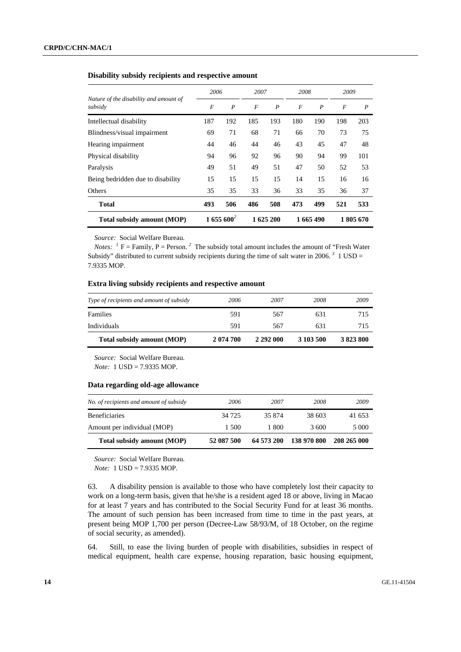# *2006 2007 2008 2009 Nature of the disability and amount of subsidy F P F P F P F P*  Intellectual disability 187 192 185 193 180 190 198 203 Blindness/visual impairment 69 71 68 71 66 70 73 75 Hearing impairment 44 46 44 46 43 45 47 48 Physical disability 94 96 92 96 90 94 99 101 Paralysis 19 51 49 51 49 51 47 50 52 53 Being bedridden due to disability 15 15 15 15 16 16 16 Others 35 35 33 36 33 35 36 37 **Total 493 506 486 508 473 499 521 533 Total subsidy amount (MOP) 1 655 600***<sup>2</sup>* **1 625 200 1 665 490 1 805 670**

### **Disability subsidy recipients and respective amount**

*Source:* Social Welfare Bureau.

*Notes:* <sup>*1*</sup>  $F =$  Family,  $P =$  Person. <sup>2</sup> The subsidy total amount includes the amount of "Fresh Water" Subsidy" distributed to current subsidy recipients during the time of salt water in 2006.<sup>3</sup> 1 USD = 7.9335 MOP.

### **Extra living subsidy recipients and respective amount**

| Total subsidy amount (MOP)               | 2 074 700 | 2 292 000 | 3 103 500 | 3 823 800 |
|------------------------------------------|-----------|-----------|-----------|-----------|
| Individuals                              | 591       | 567       | 631       | 715       |
| Families                                 | 591       | 567       | 631       | 715       |
| Type of recipients and amount of subsidy | 2006      | 2007      | 2008      | 2009      |

*Source:* Social Welfare Bureau.

*Note:* 1 USD = 7.9335 MOP.

### **Data regarding old-age allowance**

| No. of recipients and amount of subsidy | 2006       | 2007       | 2008        | 2009        |
|-----------------------------------------|------------|------------|-------------|-------------|
| <b>Beneficiaries</b>                    | 34 7 25    | 35 874     | 38 603      | 41 653      |
| Amount per individual (MOP)             | 1.500      | 1 800      | 3600        | 5 0 0 0     |
| <b>Total subsidy amount (MOP)</b>       | 52 087 500 | 64 573 200 | 138 970 800 | 208 265 000 |

*Source:* Social Welfare Bureau. *Note:* 1 USD = 7.9335 MOP.

63. A disability pension is available to those who have completely lost their capacity to work on a long-term basis, given that he/she is a resident aged 18 or above, living in Macao for at least 7 years and has contributed to the Social Security Fund for at least 36 months. The amount of such pension has been increased from time to time in the past years, at present being MOP 1,700 per person (Decree-Law 58/93/M, of 18 October, on the regime of social security, as amended).

64. Still, to ease the living burden of people with disabilities, subsidies in respect of medical equipment, health care expense, housing reparation, basic housing equipment,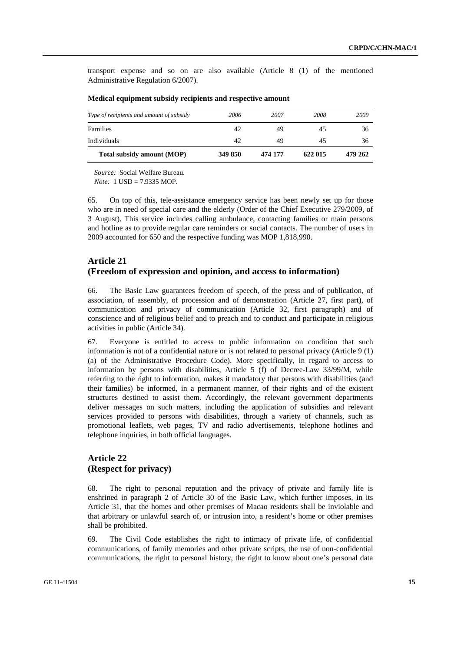transport expense and so on are also available (Article 8 (1) of the mentioned Administrative Regulation 6/2007).

| Individuals                              | 42   | 49   | 45   | 36   |
|------------------------------------------|------|------|------|------|
| Families                                 | 42   | 49   | 45   | 36   |
| Type of recipients and amount of subsidy | 2006 | 2007 | 2008 | 2009 |

### **Medical equipment subsidy recipients and respective amount**

*Source:* Social Welfare Bureau.

*Note:* 1 USD = 7.9335 MOP.

65. On top of this, tele-assistance emergency service has been newly set up for those who are in need of special care and the elderly (Order of the Chief Executive 279/2009, of 3 August). This service includes calling ambulance, contacting families or main persons and hotline as to provide regular care reminders or social contacts. The number of users in 2009 accounted for 650 and the respective funding was MOP 1,818,990.

# **Article 21 (Freedom of expression and opinion, and access to information)**

66. The Basic Law guarantees freedom of speech, of the press and of publication, of association, of assembly, of procession and of demonstration (Article 27, first part), of communication and privacy of communication (Article 32, first paragraph) and of conscience and of religious belief and to preach and to conduct and participate in religious activities in public (Article 34).

67. Everyone is entitled to access to public information on condition that such information is not of a confidential nature or is not related to personal privacy (Article 9 (1) (a) of the Administrative Procedure Code). More specifically, in regard to access to information by persons with disabilities, Article 5 (f) of Decree-Law 33/99/M, while referring to the right to information, makes it mandatory that persons with disabilities (and their families) be informed, in a permanent manner, of their rights and of the existent structures destined to assist them. Accordingly, the relevant government departments deliver messages on such matters, including the application of subsidies and relevant services provided to persons with disabilities, through a variety of channels, such as promotional leaflets, web pages, TV and radio advertisements, telephone hotlines and telephone inquiries, in both official languages.

## **Article 22 (Respect for privacy)**

68. The right to personal reputation and the privacy of private and family life is enshrined in paragraph 2 of Article 30 of the Basic Law, which further imposes, in its Article 31, that the homes and other premises of Macao residents shall be inviolable and that arbitrary or unlawful search of, or intrusion into, a resident's home or other premises shall be prohibited.

69. The Civil Code establishes the right to intimacy of private life, of confidential communications, of family memories and other private scripts, the use of non-confidential communications, the right to personal history, the right to know about one's personal data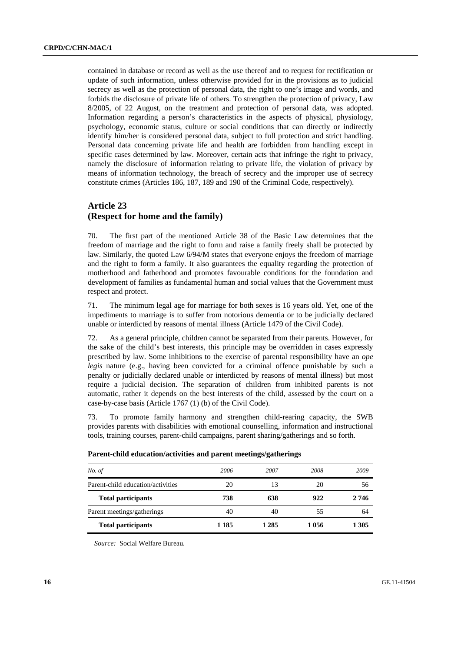contained in database or record as well as the use thereof and to request for rectification or update of such information, unless otherwise provided for in the provisions as to judicial secrecy as well as the protection of personal data, the right to one's image and words, and forbids the disclosure of private life of others. To strengthen the protection of privacy, Law 8/2005, of 22 August, on the treatment and protection of personal data, was adopted. Information regarding a person's characteristics in the aspects of physical, physiology, psychology, economic status, culture or social conditions that can directly or indirectly identify him/her is considered personal data, subject to full protection and strict handling. Personal data concerning private life and health are forbidden from handling except in specific cases determined by law. Moreover, certain acts that infringe the right to privacy, namely the disclosure of information relating to private life, the violation of privacy by means of information technology, the breach of secrecy and the improper use of secrecy constitute crimes (Articles 186, 187, 189 and 190 of the Criminal Code, respectively).

## **Article 23 (Respect for home and the family)**

70. The first part of the mentioned Article 38 of the Basic Law determines that the freedom of marriage and the right to form and raise a family freely shall be protected by law. Similarly, the quoted Law 6/94/M states that everyone enjoys the freedom of marriage and the right to form a family. It also guarantees the equality regarding the protection of motherhood and fatherhood and promotes favourable conditions for the foundation and development of families as fundamental human and social values that the Government must respect and protect.

71. The minimum legal age for marriage for both sexes is 16 years old. Yet, one of the impediments to marriage is to suffer from notorious dementia or to be judicially declared unable or interdicted by reasons of mental illness (Article 1479 of the Civil Code).

72. As a general principle, children cannot be separated from their parents. However, for the sake of the child's best interests, this principle may be overridden in cases expressly prescribed by law. Some inhibitions to the exercise of parental responsibility have an *ope legis* nature (e.g., having been convicted for a criminal offence punishable by such a penalty or judicially declared unable or interdicted by reasons of mental illness) but most require a judicial decision. The separation of children from inhibited parents is not automatic, rather it depends on the best interests of the child, assessed by the court on a case-by-case basis (Article 1767 (1) (b) of the Civil Code).

73. To promote family harmony and strengthen child-rearing capacity, the SWB provides parents with disabilities with emotional counselling, information and instructional tools, training courses, parent-child campaigns, parent sharing/gatherings and so forth.

| No. of                            | 2006  | 2007    | 2008    | 2009  |
|-----------------------------------|-------|---------|---------|-------|
| Parent-child education/activities | 20    | 13      | 20      | 56    |
| <b>Total participants</b>         | 738   | 638     | 922     | 2 746 |
| Parent meetings/gatherings        | 40    | 40      | 55      | 64    |
| <b>Total participants</b>         | 1 185 | 1 2 8 5 | 1 0 5 6 | 1 305 |

| Parent-child education/activities and parent meetings/gatherings |  |  |  |  |  |  |  |
|------------------------------------------------------------------|--|--|--|--|--|--|--|
|------------------------------------------------------------------|--|--|--|--|--|--|--|

*Source:* Social Welfare Bureau.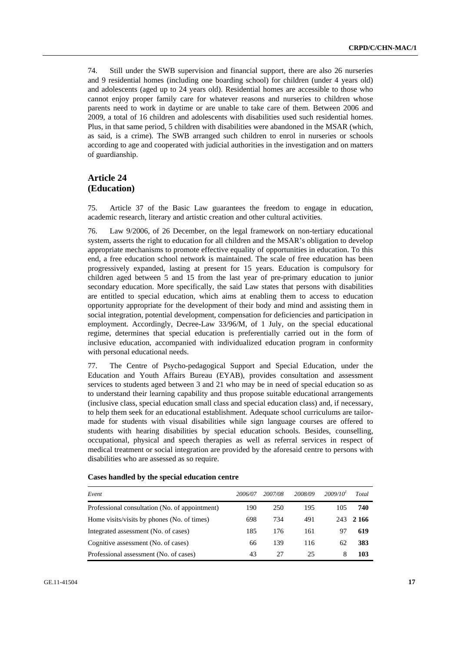74. Still under the SWB supervision and financial support, there are also 26 nurseries and 9 residential homes (including one boarding school) for children (under 4 years old) and adolescents (aged up to 24 years old). Residential homes are accessible to those who cannot enjoy proper family care for whatever reasons and nurseries to children whose parents need to work in daytime or are unable to take care of them. Between 2006 and 2009, a total of 16 children and adolescents with disabilities used such residential homes. Plus, in that same period, 5 children with disabilities were abandoned in the MSAR (which, as said, is a crime). The SWB arranged such children to enrol in nurseries or schools according to age and cooperated with judicial authorities in the investigation and on matters of guardianship.

# **Article 24 (Education)**

75. Article 37 of the Basic Law guarantees the freedom to engage in education, academic research, literary and artistic creation and other cultural activities.

76. Law 9/2006, of 26 December, on the legal framework on non-tertiary educational system, asserts the right to education for all children and the MSAR's obligation to develop appropriate mechanisms to promote effective equality of opportunities in education. To this end, a free education school network is maintained. The scale of free education has been progressively expanded, lasting at present for 15 years. Education is compulsory for children aged between 5 and 15 from the last year of pre-primary education to junior secondary education. More specifically, the said Law states that persons with disabilities are entitled to special education, which aims at enabling them to access to education opportunity appropriate for the development of their body and mind and assisting them in social integration, potential development, compensation for deficiencies and participation in employment. Accordingly, Decree-Law 33/96/M, of 1 July, on the special educational regime, determines that special education is preferentially carried out in the form of inclusive education, accompanied with individualized education program in conformity with personal educational needs.

77. The Centre of Psycho-pedagogical Support and Special Education, under the Education and Youth Affairs Bureau (EYAB), provides consultation and assessment services to students aged between 3 and 21 who may be in need of special education so as to understand their learning capability and thus propose suitable educational arrangements (inclusive class, special education small class and special education class) and, if necessary, to help them seek for an educational establishment. Adequate school curriculums are tailormade for students with visual disabilities while sign language courses are offered to students with hearing disabilities by special education schools. Besides, counselling, occupational, physical and speech therapies as well as referral services in respect of medical treatment or social integration are provided by the aforesaid centre to persons with disabilities who are assessed as so require.

| Event                                          | 2006/07 | 2007/08 | 2008/09 | 2009/10 <sup>1</sup> | Total |
|------------------------------------------------|---------|---------|---------|----------------------|-------|
| Professional consultation (No. of appointment) | 190     | 250     | 195     | 105                  | 740   |
| Home visits/visits by phones (No. of times)    | 698     | 734     | 491     | 243                  | 2 166 |
| Integrated assessment (No. of cases)           | 185     | 176     | 161     |                      | 619   |
| Cognitive assessment (No. of cases)            | 66      | 139     | 116     | 62                   | 383   |
| Professional assessment (No. of cases)         | 43      | 27      | 25      | 8                    | 103   |

 **Cases handled by the special education centre**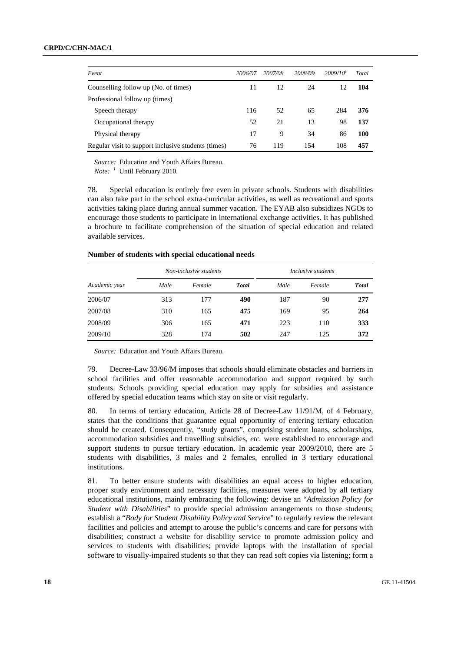| Event                                               | 2006/07 | 2007/08 | 2008/09 | 2009/10 <sup>1</sup> | Total |
|-----------------------------------------------------|---------|---------|---------|----------------------|-------|
| Counselling follow up (No. of times)                | 11      | 12      | 24      | 12                   | 104   |
| Professional follow up (times)                      |         |         |         |                      |       |
| Speech therapy                                      | 116     | 52      | 65      | 284                  | 376   |
| Occupational therapy                                | 52      | 21      | 13      | 98                   | 137   |
| Physical therapy                                    | 17      | 9       | 34      | 86                   | 100   |
| Regular visit to support inclusive students (times) | 76      | 119     | 154     | 108                  | 457   |

*Source:* Education and Youth Affairs Bureau.

*Note: <sup>1</sup>* Until February 2010.

78. Special education is entirely free even in private schools. Students with disabilities can also take part in the school extra-curricular activities, as well as recreational and sports activities taking place during annual summer vacation. The EYAB also subsidizes NGOs to encourage those students to participate in international exchange activities. It has published a brochure to facilitate comprehension of the situation of special education and related available services.

### **Number of students with special educational needs**

| Non-inclusive students |      |        |              |      | Inclusive students |              |
|------------------------|------|--------|--------------|------|--------------------|--------------|
| Academic year          | Male | Female | <b>Total</b> | Male | Female             | <b>Total</b> |
| 2006/07                | 313  | 177    | 490          | 187  | 90                 | 277          |
| 2007/08                | 310  | 165    | 475          | 169  | 95                 | 264          |
| 2008/09                | 306  | 165    | 471          | 223  | 110                | 333          |
| 2009/10                | 328  | 174    | 502          | 247  | 125                | 372          |

*Source:* Education and Youth Affairs Bureau.

79. Decree-Law 33/96/M imposes that schools should eliminate obstacles and barriers in school facilities and offer reasonable accommodation and support required by such students. Schools providing special education may apply for subsidies and assistance offered by special education teams which stay on site or visit regularly.

80. In terms of tertiary education, Article 28 of Decree-Law 11/91/M, of 4 February, states that the conditions that guarantee equal opportunity of entering tertiary education should be created. Consequently, "study grants", comprising student loans, scholarships, accommodation subsidies and travelling subsidies, *etc.* were established to encourage and support students to pursue tertiary education. In academic year 2009/2010, there are 5 students with disabilities, 3 males and 2 females, enrolled in 3 tertiary educational institutions.

81. To better ensure students with disabilities an equal access to higher education, proper study environment and necessary facilities, measures were adopted by all tertiary educational institutions, mainly embracing the following: devise an "*Admission Policy for Student with Disabilities*" to provide special admission arrangements to those students; establish a "*Body for Student Disability Policy and Service*" to regularly review the relevant facilities and policies and attempt to arouse the public's concerns and care for persons with disabilities; construct a website for disability service to promote admission policy and services to students with disabilities; provide laptops with the installation of special software to visually-impaired students so that they can read soft copies via listening; form a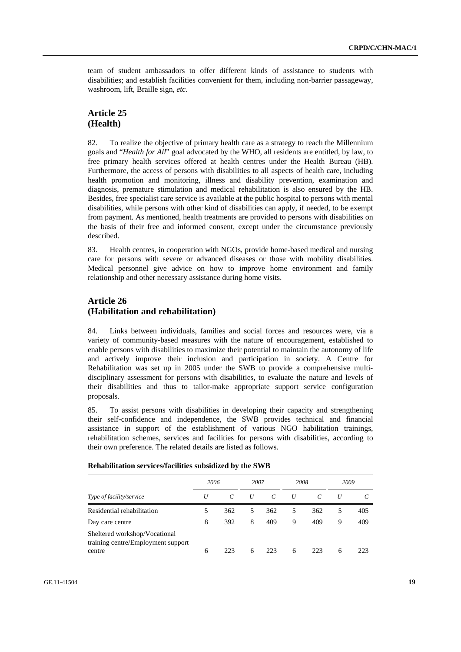team of student ambassadors to offer different kinds of assistance to students with disabilities; and establish facilities convenient for them, including non-barrier passageway, washroom, lift, Braille sign, *etc.*

## **Article 25 (Health)**

82. To realize the objective of primary health care as a strategy to reach the Millennium goals and "*Health for All*" goal advocated by the WHO, all residents are entitled, by law, to free primary health services offered at health centres under the Health Bureau (HB). Furthermore, the access of persons with disabilities to all aspects of health care, including health promotion and monitoring, illness and disability prevention, examination and diagnosis, premature stimulation and medical rehabilitation is also ensured by the HB. Besides, free specialist care service is available at the public hospital to persons with mental disabilities, while persons with other kind of disabilities can apply, if needed, to be exempt from payment. As mentioned, health treatments are provided to persons with disabilities on the basis of their free and informed consent, except under the circumstance previously described.

83. Health centres, in cooperation with NGOs, provide home-based medical and nursing care for persons with severe or advanced diseases or those with mobility disabilities. Medical personnel give advice on how to improve home environment and family relationship and other necessary assistance during home visits.

## **Article 26 (Habilitation and rehabilitation)**

84. Links between individuals, families and social forces and resources were, via a variety of community-based measures with the nature of encouragement, established to enable persons with disabilities to maximize their potential to maintain the autonomy of life and actively improve their inclusion and participation in society. A Centre for Rehabilitation was set up in 2005 under the SWB to provide a comprehensive multidisciplinary assessment for persons with disabilities, to evaluate the nature and levels of their disabilities and thus to tailor-make appropriate support service configuration proposals.

85. To assist persons with disabilities in developing their capacity and strengthening their self-confidence and independence, the SWB provides technical and financial assistance in support of the establishment of various NGO habilitation trainings, rehabilitation schemes, services and facilities for persons with disabilities, according to their own preference. The related details are listed as follows.

|                                                                     | 2006 |            | 2007 |               | 2008 |     | 2009 |     |
|---------------------------------------------------------------------|------|------------|------|---------------|------|-----|------|-----|
| Type of facility/service                                            | U    | $\epsilon$ | U    | $\mathcal{C}$ | U    |     | U    |     |
| Residential rehabilitation                                          |      | 362        | 5    | 362           | 5    | 362 | 5    | 405 |
| Day care centre                                                     | 8    | 392        | 8    | 409           | 9    | 409 | 9    | 409 |
| Sheltered workshop/Vocational<br>training centre/Employment support |      |            |      |               |      |     |      |     |
| centre                                                              | 6    | 223        | 6    | 223           | 6    | 223 | 6    | 223 |

#### **Rehabilitation services/facilities subsidized by the SWB**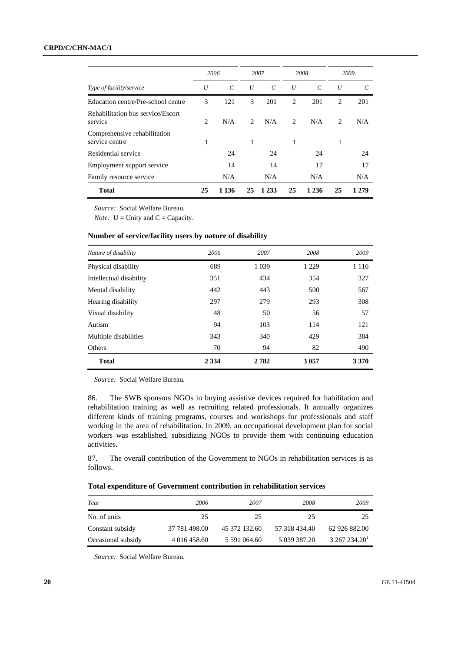### **CRPD/C/CHN-MAC/1**

|                                                |    | 2006              |                               | 2007          |                | 2008                  |                | 2009  |
|------------------------------------------------|----|-------------------|-------------------------------|---------------|----------------|-----------------------|----------------|-------|
| Type of facility/service                       | U  | $\mathcal{C}_{0}$ | U                             | $\mathcal{C}$ | U              | $\mathcal{C}_{0}^{0}$ | U              | C     |
| Education centre/Pre-school centre             | 3  | 121               | 3                             | 201           | $\overline{c}$ | 201                   | $\overline{2}$ | 201   |
| Rehabilitation bus service/Escort<br>service   | 2  | N/A               | $\mathfrak{D}_{\mathfrak{p}}$ | N/A           | $\overline{c}$ | N/A                   | 2              | N/A   |
| Comprehensive rehabilitation<br>service centre | 1  |                   | 1                             |               | 1              |                       | 1              |       |
| Residential service                            |    | 24                |                               | 24            |                | 24                    |                | 24    |
| Employment support service                     |    | 14                |                               | 14            |                | 17                    |                | 17    |
| Family resource service                        |    | N/A               |                               | N/A           |                | N/A                   |                | N/A   |
| <b>Total</b>                                   | 25 | 1 1 3 6           | 25                            | 1 2 3 3       | 25             | 1 2 3 6               | 25             | 1 279 |

*Source:* Social Welfare Bureau.

*Note:*  $U =$  Unity and  $C =$  Capacity.

### **Number of service/facility users by nature of disability**

| Nature of disability    | 2006    | 2007    | 2008    | 2009    |
|-------------------------|---------|---------|---------|---------|
| Physical disability     | 689     | 1 0 3 9 | 1 2 2 9 | 1 1 1 6 |
| Intellectual disability | 351     | 434     | 354     | 327     |
| Mental disability       | 442     | 443     | 500     | 567     |
| Hearing disability      | 297     | 279     | 293     | 308     |
| Visual disability       | 48      | 50      | 56      | 57      |
| Autism                  | 94      | 103     | 114     | 121     |
| Multiple disabilities   | 343     | 340     | 429     | 384     |
| Others                  | 70      | 94      | 82      | 490     |
| <b>Total</b>            | 2 3 3 4 | 2782    | 3 0 5 7 | 3 3 7 0 |

*Source:* Social Welfare Bureau.

86. The SWB sponsors NGOs in buying assistive devices required for habilitation and rehabilitation training as well as recruiting related professionals. It annually organizes different kinds of training programs, courses and workshops for professionals and staff working in the area of rehabilitation. In 2009, an occupational development plan for social workers was established, subsidizing NGOs to provide them with continuing education activities.

87. The overall contribution of the Government to NGOs in rehabilitation services is as follows.

### **Total expenditure of Government contribution in rehabilitation services**

| Year               | 2006          | 2007          | 2008          | 2009          |
|--------------------|---------------|---------------|---------------|---------------|
| No. of units       | 25            | 25            | 25            | 25            |
| Constant subsidy   | 37 781 498.00 | 45 372 132.60 | 57 318 434.40 | 62 926 882.00 |
| Occasional subsidy | 4 016 458.60  | 5 591 064.60  | 5 039 387.20  | 3267234.20    |

*Source:* Social Welfare Bureau.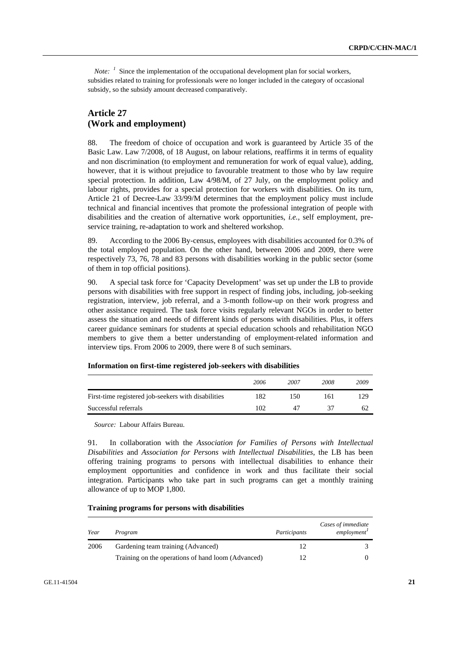*Note:*  $\frac{1}{2}$  Since the implementation of the occupational development plan for social workers, subsidies related to training for professionals were no longer included in the category of occasional subsidy, so the subsidy amount decreased comparatively.

## **Article 27 (Work and employment)**

88. The freedom of choice of occupation and work is guaranteed by Article 35 of the Basic Law. Law 7/2008, of 18 August, on labour relations, reaffirms it in terms of equality and non discrimination (to employment and remuneration for work of equal value), adding, however, that it is without prejudice to favourable treatment to those who by law require special protection. In addition, Law 4/98/M, of 27 July, on the employment policy and labour rights, provides for a special protection for workers with disabilities. On its turn, Article 21 of Decree-Law 33/99/M determines that the employment policy must include technical and financial incentives that promote the professional integration of people with disabilities and the creation of alternative work opportunities, *i.e.*, self employment, preservice training, re-adaptation to work and sheltered workshop.

89. According to the 2006 By-census, employees with disabilities accounted for 0.3% of the total employed population. On the other hand, between 2006 and 2009, there were respectively 73, 76, 78 and 83 persons with disabilities working in the public sector (some of them in top official positions).

90. A special task force for 'Capacity Development' was set up under the LB to provide persons with disabilities with free support in respect of finding jobs, including, job-seeking registration, interview, job referral, and a 3-month follow-up on their work progress and other assistance required. The task force visits regularly relevant NGOs in order to better assess the situation and needs of different kinds of persons with disabilities. Plus, it offers career guidance seminars for students at special education schools and rehabilitation NGO members to give them a better understanding of employment-related information and interview tips. From 2006 to 2009, there were 8 of such seminars.

|                                                     | 2006 | 2007 | 2008 | 2009 |
|-----------------------------------------------------|------|------|------|------|
| First-time registered job-seekers with disabilities | 182  | 150  | 161  | 129  |
| Successful referrals                                |      | 47   |      | 62   |

### **Information on first-time registered job-seekers with disabilities**

*Source:* Labour Affairs Bureau.

91. In collaboration with the *Association for Families of Persons with Intellectual Disabilities* and *Association for Persons with Intellectual Disabilities*, the LB has been offering training programs to persons with intellectual disabilities to enhance their employment opportunities and confidence in work and thus facilitate their social integration. Participants who take part in such programs can get a monthly training allowance of up to MOP 1,800.

### **Training programs for persons with disabilities**

| Year | Program                                            | Participants | Cases of immediate<br>employment <sup>1</sup> |
|------|----------------------------------------------------|--------------|-----------------------------------------------|
| 2006 | Gardening team training (Advanced)                 |              |                                               |
|      | Training on the operations of hand loom (Advanced) |              |                                               |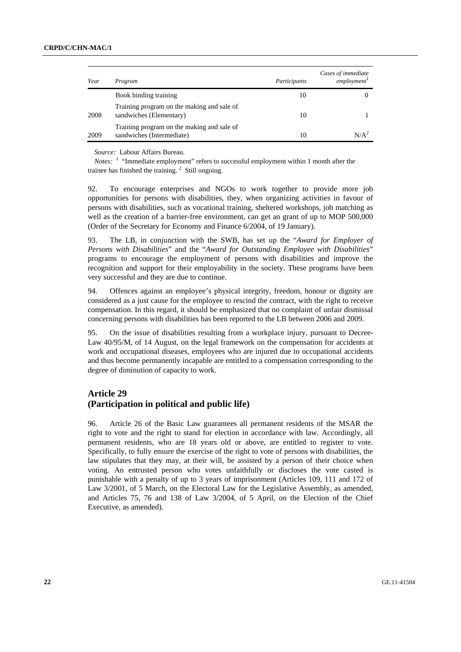| Year | Program                                                                 | Participants | Cases of immediate<br>employment <sup>1</sup> |
|------|-------------------------------------------------------------------------|--------------|-----------------------------------------------|
|      | Book binding training                                                   | 10           |                                               |
| 2008 | Training program on the making and sale of<br>sandwiches (Elementary)   | 10           |                                               |
| 2009 | Training program on the making and sale of<br>sandwiches (Intermediate) | 10           | 7Д                                            |

*Source:* Labour Affairs Bureau.

*Notes:* <sup>*1*</sup> "Immediate employment" refers to successful employment within 1 month after the trainee has finished the training. *<sup>2</sup>* Still ongoing.

92. To encourage enterprises and NGOs to work together to provide more job opportunities for persons with disabilities, they, when organizing activities in favour of persons with disabilities, such as vocational training, sheltered workshops, job matching as well as the creation of a barrier-free environment, can get an grant of up to MOP 500,000 (Order of the Secretary for Economy and Finance 6/2004, of 19 January).

93. The LB, in conjunction with the SWB, has set up the "*Award for Employer of Persons with Disabilities*" and the "*Award for Outstanding Employee with Disabilities*" programs to encourage the employment of persons with disabilities and improve the recognition and support for their employability in the society. These programs have been very successful and they are due to continue.

94. Offences against an employee's physical integrity, freedom, honour or dignity are considered as a just cause for the employee to rescind the contract, with the right to receive compensation. In this regard, it should be emphasized that no complaint of unfair dismissal concerning persons with disabilities has been reported to the LB between 2006 and 2009.

95. On the issue of disabilities resulting from a workplace injury, pursuant to Decree-Law 40/95/M, of 14 August, on the legal framework on the compensation for accidents at work and occupational diseases, employees who are injured due to occupational accidents and thus become permanently incapable are entitled to a compensation corresponding to the degree of diminution of capacity to work.

## **Article 29 (Participation in political and public life)**

96. Article 26 of the Basic Law guarantees all permanent residents of the MSAR the right to vote and the right to stand for election in accordance with law. Accordingly, all permanent residents, who are 18 years old or above, are entitled to register to vote. Specifically, to fully ensure the exercise of the right to vote of persons with disabilities, the law stipulates that they may, at their will, be assisted by a person of their choice when voting. An entrusted person who votes unfaithfully or discloses the vote casted is punishable with a penalty of up to 3 years of imprisonment (Articles 109, 111 and 172 of Law 3/2001, of 5 March, on the Electoral Law for the Legislative Assembly, as amended, and Articles 75, 76 and 138 of Law 3/2004, of 5 April, on the Election of the Chief Executive, as amended).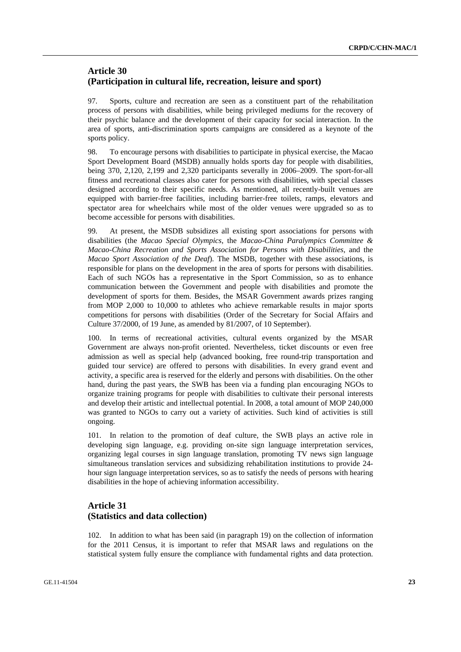# **Article 30 (Participation in cultural life, recreation, leisure and sport)**

97. Sports, culture and recreation are seen as a constituent part of the rehabilitation process of persons with disabilities, while being privileged mediums for the recovery of their psychic balance and the development of their capacity for social interaction. In the area of sports, anti-discrimination sports campaigns are considered as a keynote of the sports policy.

98. To encourage persons with disabilities to participate in physical exercise, the Macao Sport Development Board (MSDB) annually holds sports day for people with disabilities, being 370, 2,120, 2,199 and 2,320 participants severally in 2006–2009. The sport-for-all fitness and recreational classes also cater for persons with disabilities, with special classes designed according to their specific needs. As mentioned, all recently-built venues are equipped with barrier-free facilities, including barrier-free toilets, ramps, elevators and spectator area for wheelchairs while most of the older venues were upgraded so as to become accessible for persons with disabilities.

99. At present, the MSDB subsidizes all existing sport associations for persons with disabilities (the *Macao Special Olympics*, the *Macao-China Paralympics Committee & Macao-China Recreation and Sports Association for Persons with Disabilities*, and the *Macao Sport Association of the Deaf*). The MSDB, together with these associations, is responsible for plans on the development in the area of sports for persons with disabilities. Each of such NGOs has a representative in the Sport Commission, so as to enhance communication between the Government and people with disabilities and promote the development of sports for them. Besides, the MSAR Government awards prizes ranging from MOP 2,000 to 10,000 to athletes who achieve remarkable results in major sports competitions for persons with disabilities (Order of the Secretary for Social Affairs and Culture 37/2000, of 19 June, as amended by 81/2007, of 10 September).

100. In terms of recreational activities, cultural events organized by the MSAR Government are always non-profit oriented. Nevertheless, ticket discounts or even free admission as well as special help (advanced booking, free round-trip transportation and guided tour service) are offered to persons with disabilities. In every grand event and activity, a specific area is reserved for the elderly and persons with disabilities. On the other hand, during the past years, the SWB has been via a funding plan encouraging NGOs to organize training programs for people with disabilities to cultivate their personal interests and develop their artistic and intellectual potential. In 2008, a total amount of MOP 240,000 was granted to NGOs to carry out a variety of activities. Such kind of activities is still ongoing.

101. In relation to the promotion of deaf culture, the SWB plays an active role in developing sign language, e.g. providing on-site sign language interpretation services, organizing legal courses in sign language translation, promoting TV news sign language simultaneous translation services and subsidizing rehabilitation institutions to provide 24 hour sign language interpretation services, so as to satisfy the needs of persons with hearing disabilities in the hope of achieving information accessibility.

# **Article 31 (Statistics and data collection)**

102. In addition to what has been said (in paragraph 19) on the collection of information for the 2011 Census, it is important to refer that MSAR laws and regulations on the statistical system fully ensure the compliance with fundamental rights and data protection.